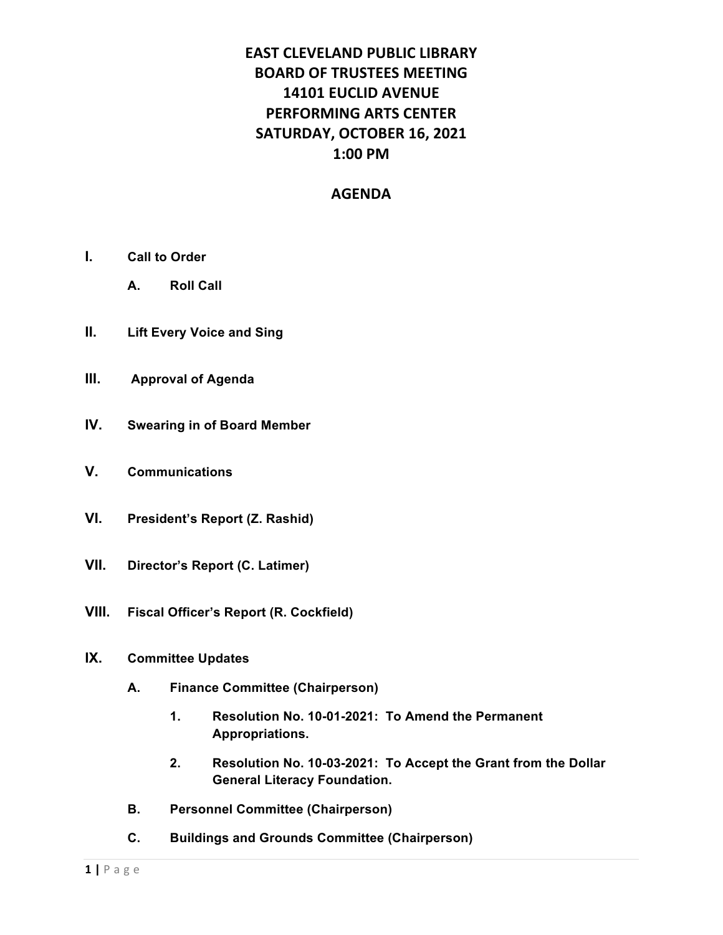# **EAST CLEVELAND PUBLIC LIBRARY BOARD OF TRUSTEES MEETING 14101 EUCLID AVENUE PERFORMING ARTS CENTER SATURDAY, OCTOBER 16, 2021 1:00 PM**

### **AGENDA**

- **I. Call to Order**
	- **A. Roll Call**
- **II. Lift Every Voice and Sing**
- **III. Approval of Agenda**
- **IV. Swearing in of Board Member**
- **V. Communications**
- **VI. President's Report (Z. Rashid)**
- **VII. Director's Report (C. Latimer)**
- **VIII. Fiscal Officer's Report (R. Cockfield)**
- **IX. Committee Updates**
	- **A. Finance Committee (Chairperson)**
		- **1. Resolution No. 10-01-2021: To Amend the Permanent Appropriations.**
		- **2. Resolution No. 10-03-2021: To Accept the Grant from the Dollar General Literacy Foundation.**
	- **B. Personnel Committee (Chairperson)**
	- **C. Buildings and Grounds Committee (Chairperson)**